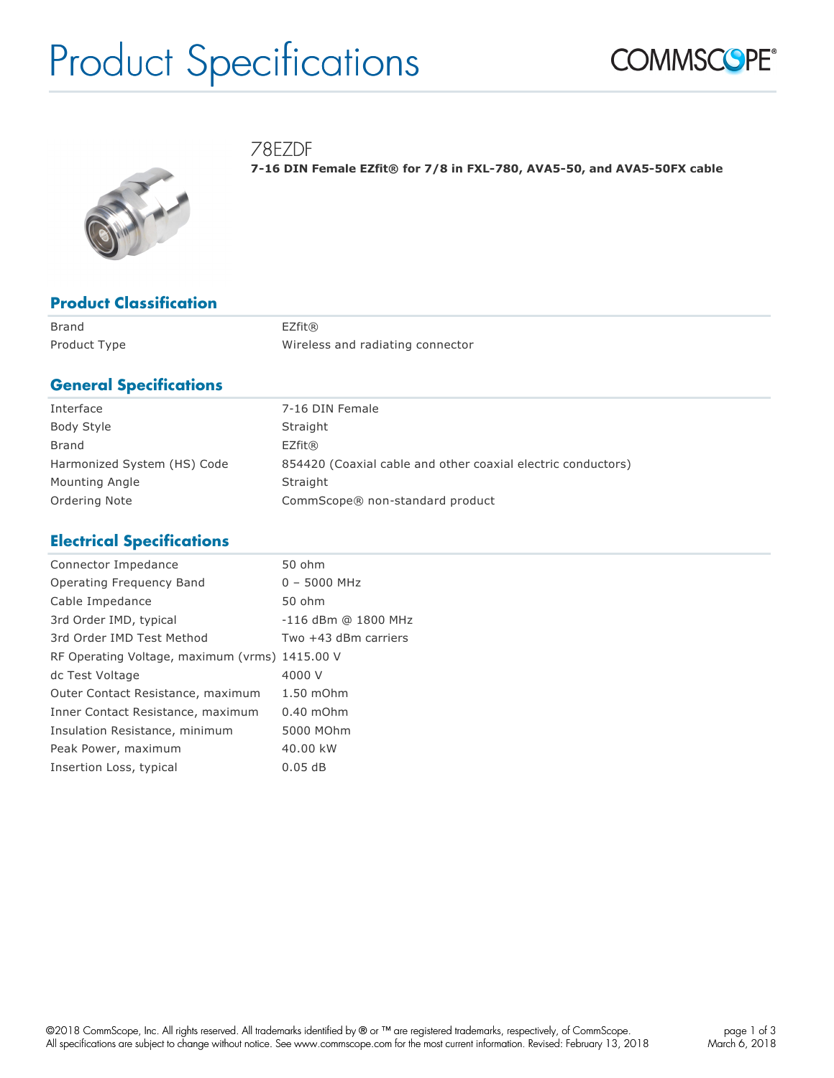# Product Specifications



78EZDF

**7-16 DIN Female EZfit® for 7/8 in FXL-780, AVA5-50, and AVA5-50FX cable**



# **Product Classification**

Brand EZfit® Product Type **Wireless** and radiating connector

### **General Specifications**

| Interface                   | 7-16 DIN Female                                              |
|-----------------------------|--------------------------------------------------------------|
| Body Style                  | Straight                                                     |
| Brand                       | EZfit@                                                       |
| Harmonized System (HS) Code | 854420 (Coaxial cable and other coaxial electric conductors) |
| Mounting Angle              | Straight                                                     |
| Ordering Note               | CommScope® non-standard product                              |

#### **Electrical Specifications**

| Connector Impedance                            | 50 ohm                 |
|------------------------------------------------|------------------------|
| Operating Frequency Band                       | $0 - 5000$ MHz         |
| Cable Impedance                                | 50 ohm                 |
| 3rd Order IMD, typical                         | -116 dBm @ 1800 MHz    |
| 3rd Order IMD Test Method                      | Two $+43$ dBm carriers |
| RF Operating Voltage, maximum (vrms) 1415.00 V |                        |
| dc Test Voltage                                | 4000 V                 |
| Outer Contact Resistance, maximum              | 1.50 mOhm              |
| Inner Contact Resistance, maximum              | $0.40$ mOhm            |
| Insulation Resistance, minimum                 | 5000 MOhm              |
| Peak Power, maximum                            | 40.00 kW               |
| Insertion Loss, typical                        | $0.05$ dB              |
|                                                |                        |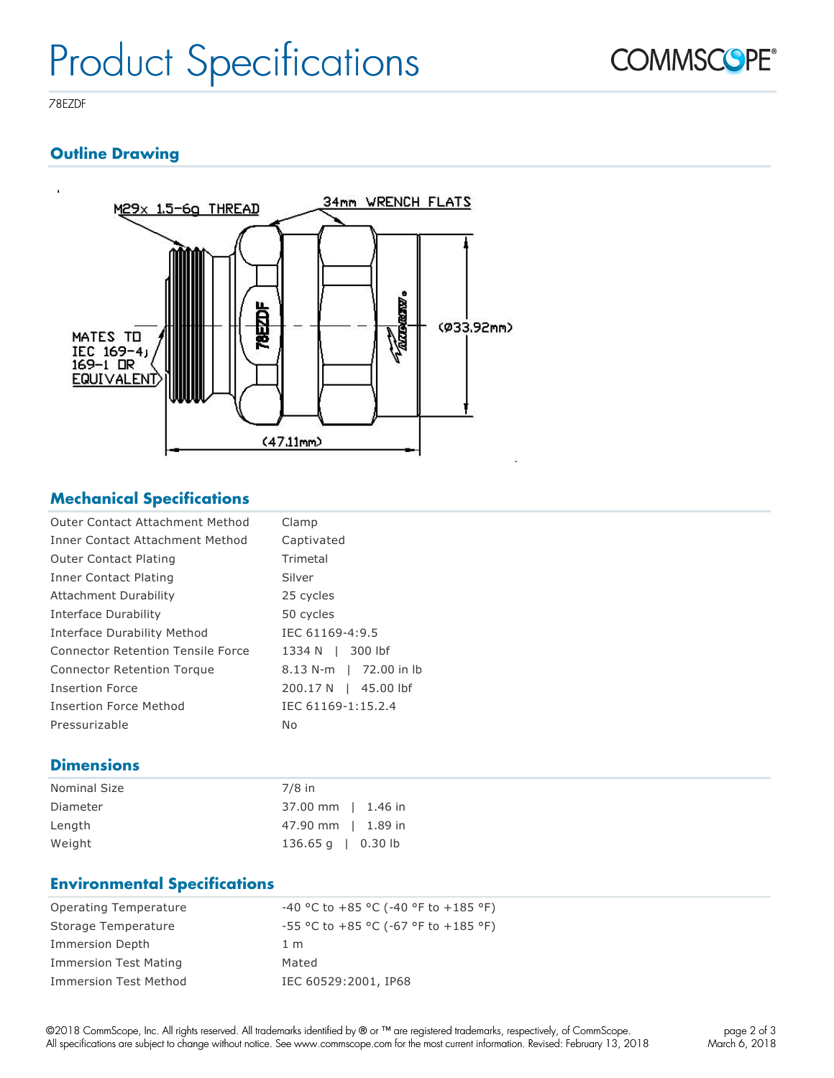

78EZDF

# **Outline Drawing**



# **Mechanical Specifications**

| Outer Contact Attachment Method          | Clamp                  |
|------------------------------------------|------------------------|
| Inner Contact Attachment Method          | Captivated             |
| <b>Outer Contact Plating</b>             | Trimetal               |
| Inner Contact Plating                    | Silver                 |
| Attachment Durability                    | 25 cycles              |
| Interface Durability                     | 50 cycles              |
| Interface Durability Method              | IEC 61169-4:9.5        |
| <b>Connector Retention Tensile Force</b> | 300 lbf<br>1334 N I    |
| <b>Connector Retention Torque</b>        | 8.13 N-m   72.00 in lb |
| Insertion Force                          | 200.17 N   45.00 lbf   |
| Insertion Force Method                   | IEC 61169-1:15.2.4     |
| Pressurizable                            | No                     |

# **Dimensions**

| <b>Nominal Size</b> | $7/8$ in                     |
|---------------------|------------------------------|
| Diameter            | 37.00 mm   1.46 in           |
| Length              | 47.90 mm   1.89 in           |
| Weight              | $136.65 \text{ q}$   0.30 lb |

#### **Environmental Specifications**

| Operating Temperature        | $-40$ °C to $+85$ °C ( $-40$ °F to $+185$ °F) |
|------------------------------|-----------------------------------------------|
| Storage Temperature          | $-55$ °C to $+85$ °C ( $-67$ °F to $+185$ °F) |
| Immersion Depth              | 1 <sub>m</sub>                                |
| <b>Immersion Test Mating</b> | Mated                                         |
| Immersion Test Method        | IEC 60529:2001, IP68                          |